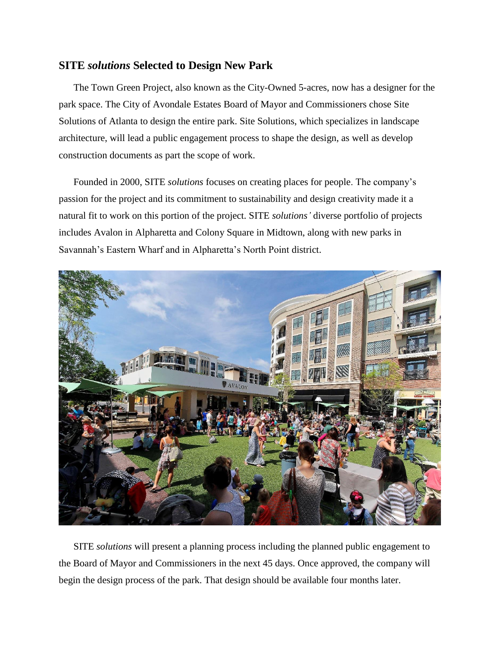## **SITE** *solutions* **Selected to Design New Park**

The Town Green Project, also known as the City-Owned 5-acres, now has a designer for the park space. The City of Avondale Estates Board of Mayor and Commissioners chose Site Solutions of Atlanta to design the entire park. Site Solutions, which specializes in landscape architecture, will lead a public engagement process to shape the design, as well as develop construction documents as part the scope of work.

Founded in 2000, SITE *solutions* focuses on creating places for people. The company's passion for the project and its commitment to sustainability and design creativity made it a natural fit to work on this portion of the project. SITE *solutions'* diverse portfolio of projects includes Avalon in Alpharetta and Colony Square in Midtown, along with new parks in Savannah's Eastern Wharf and in Alpharetta's North Point district.



SITE *solutions* will present a planning process including the planned public engagement to the Board of Mayor and Commissioners in the next 45 days. Once approved, the company will begin the design process of the park. That design should be available four months later.